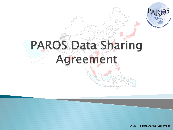

# **PAROS Data Sharing** Agreement

EXCO\_1.2\_DataSharing Agreement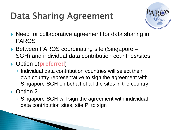## **Data Sharing Agreement**



- ▶ Need for collaborative agreement for data sharing in PAROS
- ▶ Between PAROS coordinating site (Singapore SGH) and individual data contribution countries/sites
- Option 1(**preferred**)
	- Individual data contribution countries will select their own country representative to sign the agreement with Singapore-SGH on behalf of all the sites in the country

### ▶ Option 2

◦ Singapore-SGH will sign the agreement with individual data contribution sites, site PI to sign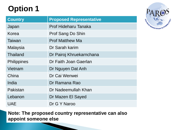### **Option 1**

| <b>Country</b>     | <b>Proposed Representative</b> |
|--------------------|--------------------------------|
| Japan              | <b>Prof Hideharu Tanaka</b>    |
| Korea              | Prof Sang Do Shin              |
| Taiwan             | <b>Prof Matthew Ma</b>         |
| Malaysia           | Dr Sarah karim                 |
| <b>Thailand</b>    | Dr Pairoj Khruekarnchana       |
| <b>Philippines</b> | Dr Faith Joan Gaerlan          |
| Vietnam            | Dr Nguyen Dat Anh              |
| China              | Dr Cai Wenwei                  |
| India              | Dr Ramana Rao                  |
| Pakistan           | Dr Nadeemullah Khan            |
| Lebanon            | Dr Mazen El Sayed              |
| <b>UAE</b>         | Dr G Y Naroo                   |

**Note: The proposed country representative can also appoint someone else** 

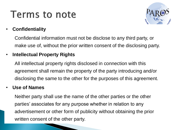### **Terms to note**



#### • **Confidentiality**

Confidential information must not be disclose to any third party, or make use of, without the prior written consent of the disclosing party.

#### • **Intellectual Property Rights**

All intellectual property rights disclosed in connection with this agreement shall remain the property of the party introducing and/or disclosing the same to the other for the purposes of this agreement.

#### • **Use of Names**

Neither party shall use the name of the other parties or the other parties' associates for any purpose whether in relation to any advertisement or other form of publicity without obtaining the prior written consent of the other party.